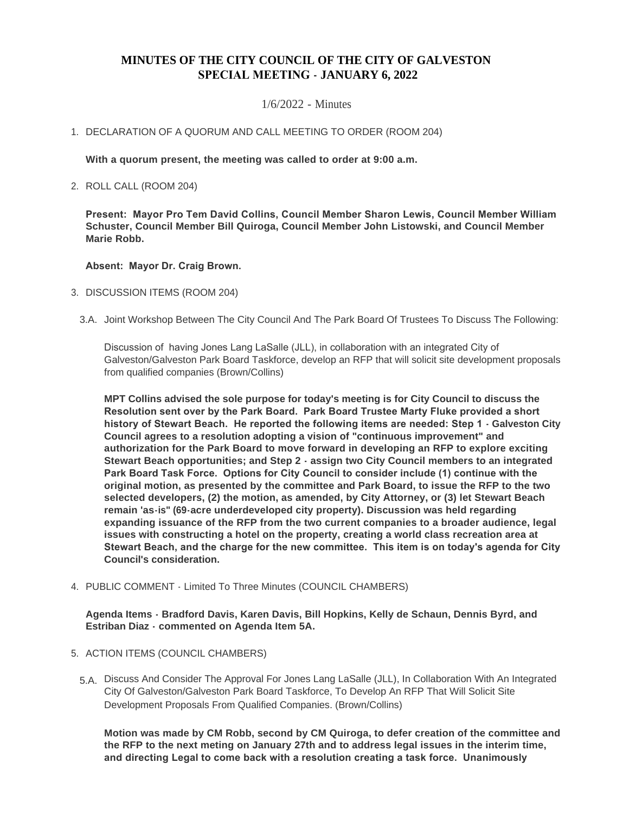# **MINUTES OF THE CITY COUNCIL OF THE CITY OF GALVESTON SPECIAL MEETING - JANUARY 6, 2022**

## 1/6/2022 - Minutes

# 1. DECLARATION OF A QUORUM AND CALL MEETING TO ORDER (ROOM 204)

**With a quorum present, the meeting was called to order at 9:00 a.m.**

2. ROLL CALL (ROOM 204)

**Present: Mayor Pro Tem David Collins, Council Member Sharon Lewis, Council Member William Schuster, Council Member Bill Quiroga, Council Member John Listowski, and Council Member Marie Robb.**

## **Absent: Mayor Dr. Craig Brown.**

#### 3. DISCUSSION ITEMS (ROOM 204)

3.A. Joint Workshop Between The City Council And The Park Board Of Trustees To Discuss The Following:

Discussion of having Jones Lang LaSalle (JLL), in collaboration with an integrated City of Galveston/Galveston Park Board Taskforce, develop an RFP that will solicit site development proposals from qualified companies (Brown/Collins)

**MPT Collins advised the sole purpose for today's meeting is for City Council to discuss the Resolution sent over by the Park Board. Park Board Trustee Marty Fluke provided a short history of Stewart Beach. He reported the following items are needed: Step 1 - Galveston City Council agrees to a resolution adopting a vision of "continuous improvement" and authorization for the Park Board to move forward in developing an RFP to explore exciting Stewart Beach opportunities; and Step 2 - assign two City Council members to an integrated Park Board Task Force. Options for City Council to consider include (1) continue with the original motion, as presented by the committee and Park Board, to issue the RFP to the two selected developers, (2) the motion, as amended, by City Attorney, or (3) let Stewart Beach remain 'as-is" (69-acre underdeveloped city property). Discussion was held regarding expanding issuance of the RFP from the two current companies to a broader audience, legal issues with constructing a hotel on the property, creating a world class recreation area at Stewart Beach, and the charge for the new committee. This item is on today's agenda for City Council's consideration.**

PUBLIC COMMENT - Limited To Three Minutes (COUNCIL CHAMBERS) 4.

**Agenda Items - Bradford Davis, Karen Davis, Bill Hopkins, Kelly de Schaun, Dennis Byrd, and Estriban Diaz - commented on Agenda Item 5A.**

- 5. ACTION ITEMS (COUNCIL CHAMBERS)
	- 5.A. Discuss And Consider The Approval For Jones Lang LaSalle (JLL), In Collaboration With An Integrated City Of Galveston/Galveston Park Board Taskforce, To Develop An RFP That Will Solicit Site Development Proposals From Qualified Companies. (Brown/Collins)

**Motion was made by CM Robb, second by CM Quiroga, to defer creation of the committee and the RFP to the next meting on January 27th and to address legal issues in the interim time, and directing Legal to come back with a resolution creating a task force. Unanimously**